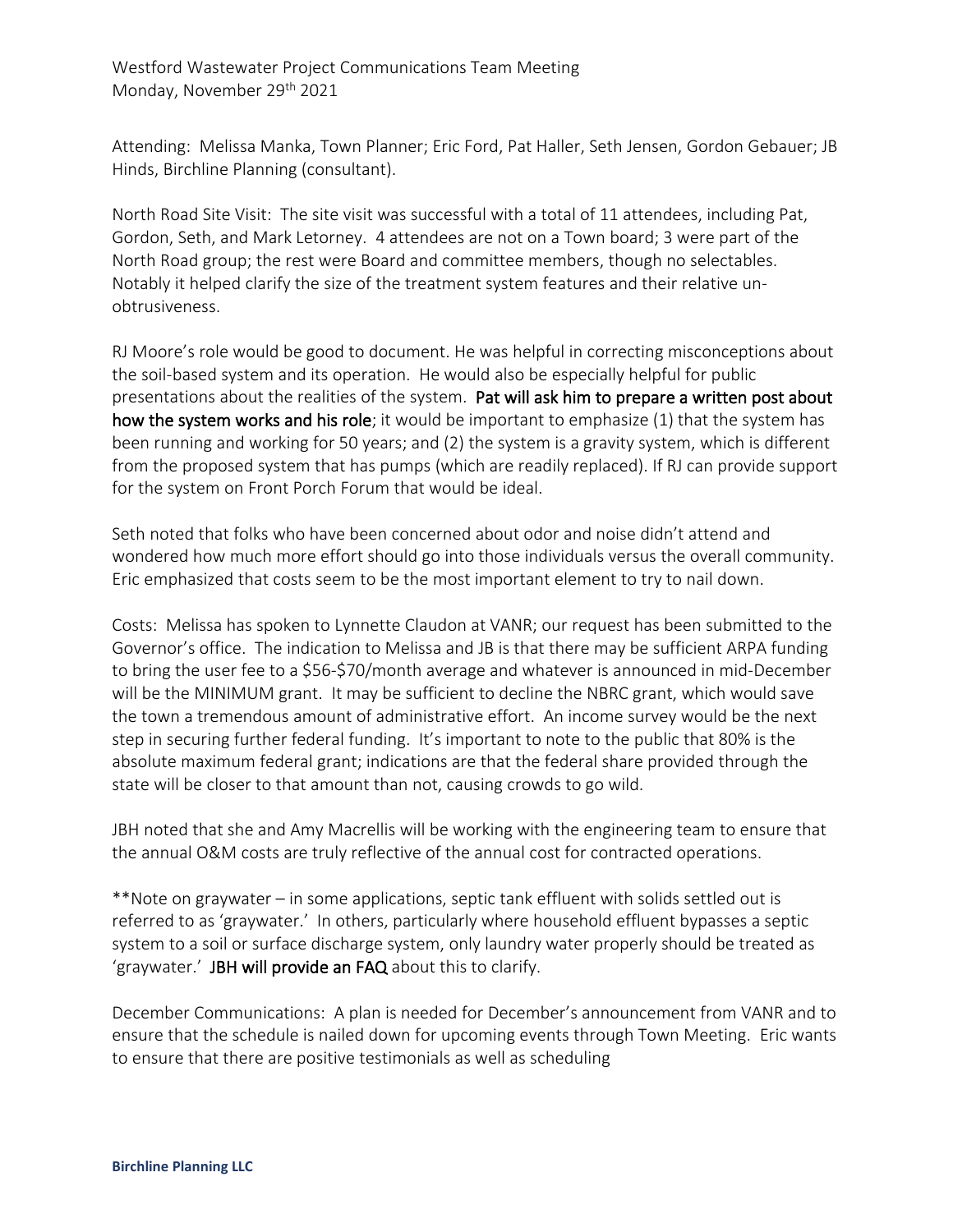Westford Wastewater Project Communications Team Meeting Monday, November 29th 2021

Attending: Melissa Manka, Town Planner; Eric Ford, Pat Haller, Seth Jensen, Gordon Gebauer; JB Hinds, Birchline Planning (consultant).

North Road Site Visit: The site visit was successful with a total of 11 attendees, including Pat, Gordon, Seth, and Mark Letorney. 4 attendees are not on a Town board; 3 were part of the North Road group; the rest were Board and committee members, though no selectables. Notably it helped clarify the size of the treatment system features and their relative unobtrusiveness.

RJ Moore's role would be good to document. He was helpful in correcting misconceptions about the soil-based system and its operation. He would also be especially helpful for public presentations about the realities of the system. Pat will ask him to prepare a written post about how the system works and his role; it would be important to emphasize (1) that the system has been running and working for 50 years; and (2) the system is a gravity system, which is different from the proposed system that has pumps (which are readily replaced). If RJ can provide support for the system on Front Porch Forum that would be ideal.

Seth noted that folks who have been concerned about odor and noise didn't attend and wondered how much more effort should go into those individuals versus the overall community. Eric emphasized that costs seem to be the most important element to try to nail down.

Costs: Melissa has spoken to Lynnette Claudon at VANR; our request has been submitted to the Governor's office. The indication to Melissa and JB is that there may be sufficient ARPA funding to bring the user fee to a \$56-\$70/month average and whatever is announced in mid-December will be the MINIMUM grant. It may be sufficient to decline the NBRC grant, which would save the town a tremendous amount of administrative effort. An income survey would be the next step in securing further federal funding. It's important to note to the public that 80% is the absolute maximum federal grant; indications are that the federal share provided through the state will be closer to that amount than not, causing crowds to go wild.

JBH noted that she and Amy Macrellis will be working with the engineering team to ensure that the annual O&M costs are truly reflective of the annual cost for contracted operations.

\*\*Note on graywater – in some applications, septic tank effluent with solids settled out is referred to as 'graywater.' In others, particularly where household effluent bypasses a septic system to a soil or surface discharge system, only laundry water properly should be treated as 'graywater.' JBH will provide an FAQ about this to clarify.

December Communications: A plan is needed for December's announcement from VANR and to ensure that the schedule is nailed down for upcoming events through Town Meeting. Eric wants to ensure that there are positive testimonials as well as scheduling